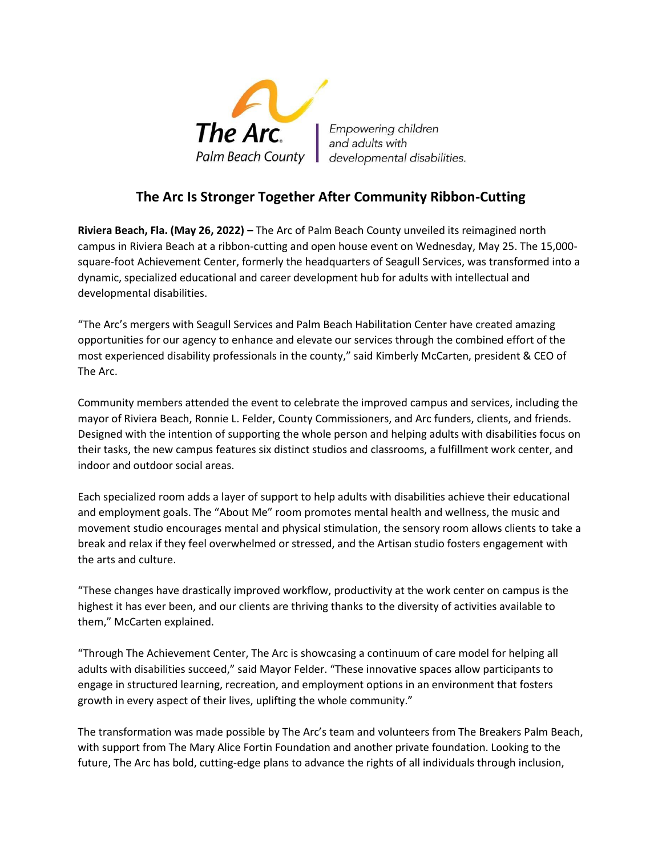

## **The Arc Is Stronger Together After Community Ribbon-Cutting**

**Riviera Beach, Fla. (May 26, 2022) –** The Arc of Palm Beach County unveiled its reimagined north campus in Riviera Beach at a ribbon-cutting and open house event on Wednesday, May 25. The 15,000 square-foot Achievement Center, formerly the headquarters of Seagull Services, was transformed into a dynamic, specialized educational and career development hub for adults with intellectual and developmental disabilities.

"The Arc's mergers with Seagull Services and Palm Beach Habilitation Center have created amazing opportunities for our agency to enhance and elevate our services through the combined effort of the most experienced disability professionals in the county," said Kimberly McCarten, president & CEO of The Arc.

Community members attended the event to celebrate the improved campus and services, including the mayor of Riviera Beach, Ronnie L. Felder, County Commissioners, and Arc funders, clients, and friends. Designed with the intention of supporting the whole person and helping adults with disabilities focus on their tasks, the new campus features six distinct studios and classrooms, a fulfillment work center, and indoor and outdoor social areas.

Each specialized room adds a layer of support to help adults with disabilities achieve their educational and employment goals. The "About Me" room promotes mental health and wellness, the music and movement studio encourages mental and physical stimulation, the sensory room allows clients to take a break and relax if they feel overwhelmed or stressed, and the Artisan studio fosters engagement with the arts and culture.

"These changes have drastically improved workflow, productivity at the work center on campus is the highest it has ever been, and our clients are thriving thanks to the diversity of activities available to them," McCarten explained.

"Through The Achievement Center, The Arc is showcasing a continuum of care model for helping all adults with disabilities succeed," said Mayor Felder. "These innovative spaces allow participants to engage in structured learning, recreation, and employment options in an environment that fosters growth in every aspect of their lives, uplifting the whole community."

The transformation was made possible by The Arc's team and volunteers from The Breakers Palm Beach, with support from The Mary Alice Fortin Foundation and another private foundation. Looking to the future, The Arc has bold, cutting-edge plans to advance the rights of all individuals through inclusion,